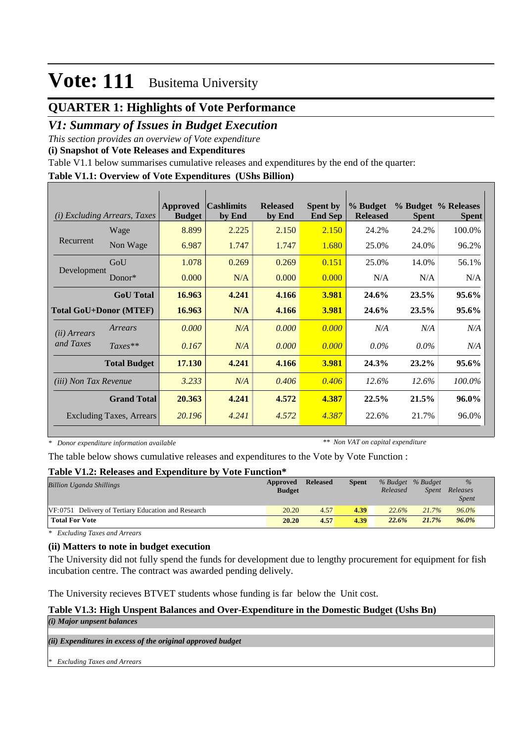## **QUARTER 1: Highlights of Vote Performance**

## *V1: Summary of Issues in Budget Execution*

*This section provides an overview of Vote expenditure* 

**(i) Snapshot of Vote Releases and Expenditures**

Table V1.1 below summarises cumulative releases and expenditures by the end of the quarter:

#### **Table V1.1: Overview of Vote Expenditures (UShs Billion)**

| (i)                          | <b>Excluding Arrears, Taxes</b> | Approved<br><b>Budget</b> | <b>Cashlimits</b><br>by End | <b>Released</b><br>by End | <b>Spent by</b><br><b>End Sep</b> | % Budget<br><b>Released</b> | <b>Spent</b> | % Budget % Releases<br><b>Spent</b> |
|------------------------------|---------------------------------|---------------------------|-----------------------------|---------------------------|-----------------------------------|-----------------------------|--------------|-------------------------------------|
|                              | Wage                            | 8.899                     | 2.225                       | 2.150                     | 2.150                             | 24.2%                       | 24.2%        | 100.0%                              |
| Recurrent                    | Non Wage                        | 6.987                     | 1.747                       | 1.747                     | 1.680                             | 25.0%                       | 24.0%        | 96.2%                               |
|                              | GoU                             | 1.078                     | 0.269                       | 0.269                     | 0.151                             | 25.0%                       | 14.0%        | 56.1%                               |
| Development                  | $Donor*$                        | 0.000                     | N/A                         | 0.000                     | 0.000                             | N/A                         | N/A          | N/A                                 |
|                              | <b>GoU</b> Total                | 16.963                    | 4.241                       | 4.166                     | 3.981                             | 24.6%                       | 23.5%        | 95.6%                               |
|                              | <b>Total GoU+Donor (MTEF)</b>   | 16.963                    | N/A                         | 4.166                     | 3.981                             | 24.6%                       | 23.5%        | 95.6%                               |
| ( <i>ii</i> ) Arrears        | Arrears                         | 0.000                     | N/A                         | 0.000                     | 0.000                             | N/A                         | N/A          | N/A                                 |
| and Taxes                    | $Taxes**$                       | 0.167                     | N/A                         | 0.000                     | 0.000                             | $0.0\%$                     | $0.0\%$      | N/A                                 |
|                              | <b>Total Budget</b>             | 17.130                    | 4.241                       | 4.166                     | 3.981                             | 24.3%                       | $23.2\%$     | 95.6%                               |
| <i>(iii)</i> Non Tax Revenue |                                 | 3.233                     | N/A                         | 0.406                     | 0.406                             | 12.6%                       | 12.6%        | 100.0%                              |
|                              | <b>Grand Total</b>              | 20.363                    | 4.241                       | 4.572                     | 4.387                             | 22.5%                       | 21.5%        | 96.0%                               |
|                              | <b>Excluding Taxes, Arrears</b> | 20.196                    | 4.241                       | 4.572                     | 4.387                             | 22.6%                       | 21.7%        | 96.0%                               |

*\* Donor expenditure information available*

*\*\* Non VAT on capital expenditure*

The table below shows cumulative releases and expenditures to the Vote by Vote Function :

#### **Table V1.2: Releases and Expenditure by Vote Function\***

| <b>Billion Uganda Shillings</b>                     | Approved<br><b>Budget</b> | <b>Released</b> | <b>Spent</b> | % Budget % Budget<br>Released | <i>Spent</i> | $\%$<br>Releases<br><b>Spent</b> |
|-----------------------------------------------------|---------------------------|-----------------|--------------|-------------------------------|--------------|----------------------------------|
| VF:0751 Delivery of Tertiary Education and Research | 20.20                     | 4.57            | 4.39         | 22.6%                         | 21.7%        | 96.0%                            |
| <b>Total For Vote</b>                               | 20.20                     | 4.57            | 4.39         | 22.6%                         | 21.7%        | $96.0\%$                         |

*\* Excluding Taxes and Arrears*

#### **(ii) Matters to note in budget execution**

The University did not fully spend the funds for development due to lengthy procurement for equipment for fish incubation centre. The contract was awarded pending delively.

The University recieves BTVET students whose funding is far below the Unit cost.

#### **Table V1.3: High Unspent Balances and Over-Expenditure in the Domestic Budget (Ushs Bn)**

*(i) Major unpsent balances*

*(ii) Expenditures in excess of the original approved budget*

*\* Excluding Taxes and Arrears*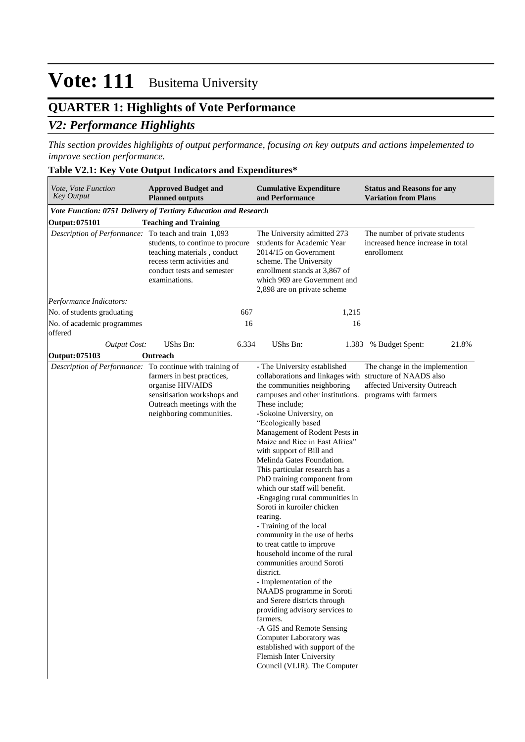## **QUARTER 1: Highlights of Vote Performance** *V2: Performance Highlights*

*This section provides highlights of output performance, focusing on key outputs and actions impelemented to improve section performance.*

### **Table V2.1: Key Vote Output Indicators and Expenditures\***

| <b>Approved Budget and</b><br>Vote, Vote Function<br><b>Key Output</b><br><b>Planned outputs</b> |                                                                                                                                              | <b>Cumulative Expenditure</b><br><b>Status and Reasons for any</b><br>and Performance<br><b>Variation from Plans</b>                                                                                                                                                                                                                                                                                                                                                                                                                                                                                                                                                                                                                                                                                                                                                                                                                                                                                                              |                                                                                    |  |  |  |
|--------------------------------------------------------------------------------------------------|----------------------------------------------------------------------------------------------------------------------------------------------|-----------------------------------------------------------------------------------------------------------------------------------------------------------------------------------------------------------------------------------------------------------------------------------------------------------------------------------------------------------------------------------------------------------------------------------------------------------------------------------------------------------------------------------------------------------------------------------------------------------------------------------------------------------------------------------------------------------------------------------------------------------------------------------------------------------------------------------------------------------------------------------------------------------------------------------------------------------------------------------------------------------------------------------|------------------------------------------------------------------------------------|--|--|--|
|                                                                                                  | Vote Function: 0751 Delivery of Tertiary Education and Research                                                                              |                                                                                                                                                                                                                                                                                                                                                                                                                                                                                                                                                                                                                                                                                                                                                                                                                                                                                                                                                                                                                                   |                                                                                    |  |  |  |
| Output: 075101                                                                                   | <b>Teaching and Training</b>                                                                                                                 |                                                                                                                                                                                                                                                                                                                                                                                                                                                                                                                                                                                                                                                                                                                                                                                                                                                                                                                                                                                                                                   |                                                                                    |  |  |  |
| Description of Performance: To teach and train 1,093                                             | students, to continue to procure<br>teaching materials, conduct<br>recess term activities and<br>conduct tests and semester<br>examinations. | The University admitted 273<br>students for Academic Year<br>2014/15 on Government<br>scheme. The University<br>enrollment stands at 3,867 of<br>which 969 are Government and<br>2,898 are on private scheme                                                                                                                                                                                                                                                                                                                                                                                                                                                                                                                                                                                                                                                                                                                                                                                                                      | The number of private students<br>increased hence increase in total<br>enrolloment |  |  |  |
| Performance Indicators:                                                                          |                                                                                                                                              |                                                                                                                                                                                                                                                                                                                                                                                                                                                                                                                                                                                                                                                                                                                                                                                                                                                                                                                                                                                                                                   |                                                                                    |  |  |  |
| No. of students graduating                                                                       | 667                                                                                                                                          | 1,215                                                                                                                                                                                                                                                                                                                                                                                                                                                                                                                                                                                                                                                                                                                                                                                                                                                                                                                                                                                                                             |                                                                                    |  |  |  |
| No. of academic programmes<br>offered                                                            | 16                                                                                                                                           | 16                                                                                                                                                                                                                                                                                                                                                                                                                                                                                                                                                                                                                                                                                                                                                                                                                                                                                                                                                                                                                                |                                                                                    |  |  |  |
| <b>Output Cost:</b>                                                                              | UShs Bn:<br>6.334                                                                                                                            | UShs Bn:                                                                                                                                                                                                                                                                                                                                                                                                                                                                                                                                                                                                                                                                                                                                                                                                                                                                                                                                                                                                                          | 1.383 % Budget Spent:<br>21.8%                                                     |  |  |  |
| Output: 075103                                                                                   | Outreach                                                                                                                                     |                                                                                                                                                                                                                                                                                                                                                                                                                                                                                                                                                                                                                                                                                                                                                                                                                                                                                                                                                                                                                                   |                                                                                    |  |  |  |
| Description of Performance: To continue with training of                                         | farmers in best practices,<br>organise HIV/AIDS<br>sensitisation workshops and<br>Outreach meetings with the<br>neighboring communities.     | - The University established<br>collaborations and linkages with structure of NAADS also<br>the communities neighboring<br>campuses and other institutions. programs with farmers<br>These include;<br>-Sokoine University, on<br>"Ecologically based<br>Management of Rodent Pests in<br>Maize and Rice in East Africa"<br>with support of Bill and<br>Melinda Gates Foundation.<br>This particular research has a<br>PhD training component from<br>which our staff will benefit.<br>-Engaging rural communities in<br>Soroti in kuroiler chicken<br>rearing.<br>- Training of the local<br>community in the use of herbs<br>to treat cattle to improve<br>household income of the rural<br>communities around Soroti<br>district.<br>- Implementation of the<br>NAADS programme in Soroti<br>and Serere districts through<br>providing advisory services to<br>farmers.<br>-A GIS and Remote Sensing<br>Computer Laboratory was<br>established with support of the<br>Flemish Inter University<br>Council (VLIR). The Computer | The change in the implemention<br>affected University Outreach                     |  |  |  |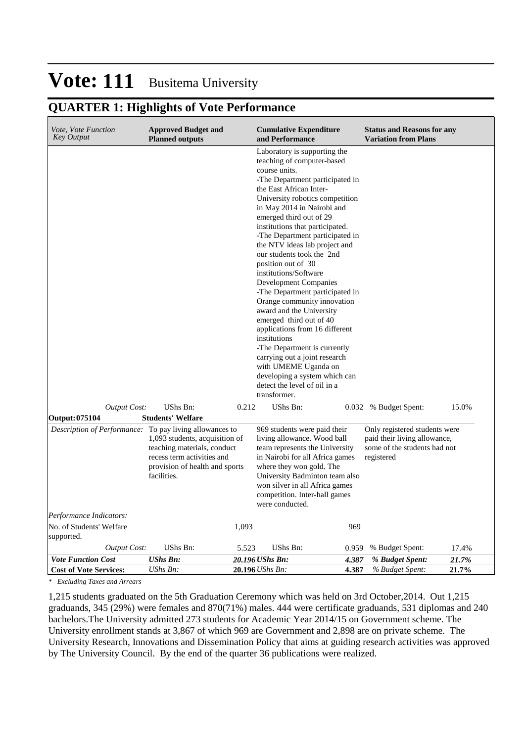## **QUARTER 1: Highlights of Vote Performance**

| <i>Vote, Vote Function</i><br><b>Key Output</b>            | <b>Approved Budget and</b><br><b>Planned outputs</b>                                                                                         |       | <b>Cumulative Expenditure</b><br>and Performance                                                                                                                                                                                                                                                                                                                                                                                                                                                                                                                                                                                                                                                                                                                                                              |                | <b>Status and Reasons for any</b><br><b>Variation from Plans</b>                                            |                |
|------------------------------------------------------------|----------------------------------------------------------------------------------------------------------------------------------------------|-------|---------------------------------------------------------------------------------------------------------------------------------------------------------------------------------------------------------------------------------------------------------------------------------------------------------------------------------------------------------------------------------------------------------------------------------------------------------------------------------------------------------------------------------------------------------------------------------------------------------------------------------------------------------------------------------------------------------------------------------------------------------------------------------------------------------------|----------------|-------------------------------------------------------------------------------------------------------------|----------------|
|                                                            |                                                                                                                                              |       | Laboratory is supporting the<br>teaching of computer-based<br>course units.<br>-The Department participated in<br>the East African Inter-<br>University robotics competition<br>in May 2014 in Nairobi and<br>emerged third out of 29<br>institutions that participated.<br>-The Department participated in<br>the NTV ideas lab project and<br>our students took the 2nd<br>position out of 30<br>institutions/Software<br><b>Development Companies</b><br>-The Department participated in<br>Orange community innovation<br>award and the University<br>emerged third out of 40<br>applications from 16 different<br>institutions<br>-The Department is currently<br>carrying out a joint research<br>with UMEME Uganda on<br>developing a system which can<br>detect the level of oil in a<br>transformer. |                |                                                                                                             |                |
| <b>Output Cost:</b>                                        | UShs Bn:                                                                                                                                     | 0.212 | UShs Bn:                                                                                                                                                                                                                                                                                                                                                                                                                                                                                                                                                                                                                                                                                                                                                                                                      |                | 0.032 % Budget Spent:                                                                                       | 15.0%          |
| <b>Output: 075104</b>                                      | <b>Students' Welfare</b>                                                                                                                     |       |                                                                                                                                                                                                                                                                                                                                                                                                                                                                                                                                                                                                                                                                                                                                                                                                               |                |                                                                                                             |                |
| Description of Performance: To pay living allowances to    | 1,093 students, acquisition of<br>teaching materials, conduct<br>recess term activities and<br>provision of health and sports<br>facilities. |       | 969 students were paid their<br>living allowance. Wood ball<br>team represents the University<br>in Nairobi for all Africa games<br>where they won gold. The<br>University Badminton team also<br>won silver in all Africa games<br>competition. Inter-hall games<br>were conducted.                                                                                                                                                                                                                                                                                                                                                                                                                                                                                                                          |                | Only registered students were<br>paid their living allowance,<br>some of the students had not<br>registered |                |
| Performance Indicators:                                    |                                                                                                                                              |       |                                                                                                                                                                                                                                                                                                                                                                                                                                                                                                                                                                                                                                                                                                                                                                                                               |                |                                                                                                             |                |
| No. of Students' Welfare<br>supported.                     |                                                                                                                                              | 1,093 |                                                                                                                                                                                                                                                                                                                                                                                                                                                                                                                                                                                                                                                                                                                                                                                                               | 969            |                                                                                                             |                |
| <b>Output Cost:</b>                                        | UShs Bn:                                                                                                                                     | 5.523 | UShs Bn:                                                                                                                                                                                                                                                                                                                                                                                                                                                                                                                                                                                                                                                                                                                                                                                                      | 0.959          | % Budget Spent:                                                                                             | 17.4%          |
| <b>Vote Function Cost</b><br><b>Cost of Vote Services:</b> | <b>UShs Bn:</b><br>UShs Bn:                                                                                                                  |       | 20.196 UShs Bn:<br>20.196 UShs Bn:                                                                                                                                                                                                                                                                                                                                                                                                                                                                                                                                                                                                                                                                                                                                                                            | 4.387<br>4.387 | % Budget Spent:<br>% Budget Spent:                                                                          | 21.7%<br>21.7% |

*\* Excluding Taxes and Arrears*

1,215 students graduated on the 5th Graduation Ceremony which was held on 3rd October,2014. Out 1,215 graduands, 345 (29%) were females and 870(71%) males. 444 were certificate graduands, 531 diplomas and 240 bachelors.The University admitted 273 students for Academic Year 2014/15 on Government scheme. The University enrollment stands at 3,867 of which 969 are Government and 2,898 are on private scheme. The University Research, Innovations and Dissemination Policy that aims at guiding research activities was approved by The University Council. By the end of the quarter 36 publications were realized.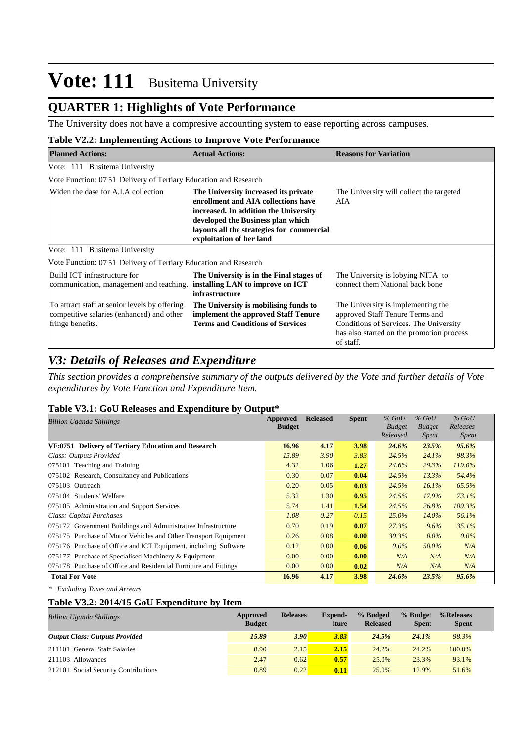### **QUARTER 1: Highlights of Vote Performance**

The University does not have a compresive accounting system to ease reporting across campuses.

#### **Table V2.2: Implementing Actions to Improve Vote Performance**

| <b>Planned Actions:</b>                                                                                        | <b>Actual Actions:</b>                                                                                                                                                                                                             | <b>Reasons for Variation</b>                                                                                                                                              |
|----------------------------------------------------------------------------------------------------------------|------------------------------------------------------------------------------------------------------------------------------------------------------------------------------------------------------------------------------------|---------------------------------------------------------------------------------------------------------------------------------------------------------------------------|
| Vote: 111 Busitema University                                                                                  |                                                                                                                                                                                                                                    |                                                                                                                                                                           |
| Vote Function: 07.51 Delivery of Tertiary Education and Research                                               |                                                                                                                                                                                                                                    |                                                                                                                                                                           |
| Widen the dase for A.I.A collection                                                                            | The University increased its private<br>enrollment and AIA collections have<br>increased. In addition the University<br>developed the Business plan which<br>layouts all the strategies for commercial<br>exploitation of her land | The University will collect the targeted<br>AIA                                                                                                                           |
| Vote: 111 Busitema University                                                                                  |                                                                                                                                                                                                                                    |                                                                                                                                                                           |
| Vote Function: 07.51 Delivery of Tertiary Education and Research                                               |                                                                                                                                                                                                                                    |                                                                                                                                                                           |
| Build ICT infrastructure for<br>communication, management and teaching.                                        | The University is in the Final stages of<br>installing LAN to improve on ICT<br>infrastructure                                                                                                                                     | The University is lobying NITA to<br>connect them National back bone                                                                                                      |
| To attract staff at senior levels by offering<br>competitive salaries (enhanced) and other<br>fringe benefits. | The University is mobilising funds to<br>implement the approved Staff Tenure<br><b>Terms and Conditions of Services</b>                                                                                                            | The University is implementing the<br>approved Staff Tenure Terms and<br>Conditions of Services. The University<br>has also started on the promotion process<br>of staff. |

### *V3: Details of Releases and Expenditure*

*This section provides a comprehensive summary of the outputs delivered by the Vote and further details of Vote expenditures by Vote Function and Expenditure Item.*

#### **Table V3.1: GoU Releases and Expenditure by Output\***

| <b>Billion Uganda Shillings</b>                                  | <b>Approved</b> | <b>Released</b> | <b>Spent</b> | $%$ GoU       | $%$ GoU       | $%$ GoU      |
|------------------------------------------------------------------|-----------------|-----------------|--------------|---------------|---------------|--------------|
|                                                                  | <b>Budget</b>   |                 |              | <b>Budget</b> | <b>Budget</b> | Releases     |
|                                                                  |                 |                 |              | Released      | Spent         | <b>Spent</b> |
| VF:0751 Delivery of Tertiary Education and Research              | 16.96           | 4.17            | 3.98         | 24.6%         | 23.5%         | $95.6\%$     |
| Class: Outputs Provided                                          | 15.89           | 3.90            | 3.83         | 24.5%         | 24.1%         | 98.3%        |
| $ 075101$ Teaching and Training                                  | 4.32            | 1.06            | 1.27         | 24.6%         | 29.3%         | 119.0%       |
| 075102 Research, Consultancy and Publications                    | 0.30            | 0.07            | 0.04         | 24.5%         | 13.3%         | 54.4%        |
| 075103 Outreach                                                  | 0.20            | 0.05            | 0.03         | 24.5%         | 16.1%         | 65.5%        |
| 075104 Students' Welfare                                         | 5.32            | 1.30            | 0.95         | 24.5%         | 17.9%         | 73.1%        |
| 075105 Administration and Support Services                       | 5.74            | 1.41            | 1.54         | 24.5%         | 26.8%         | 109.3%       |
| Class: Capital Purchases                                         | 1.08            | 0.27            | 0.15         | $25.0\%$      | $14.0\%$      | 56.1%        |
| 075172 Government Buildings and Administrative Infrastructure    | 0.70            | 0.19            | 0.07         | 27.3%         | $9.6\%$       | 35.1%        |
| 075175 Purchase of Motor Vehicles and Other Transport Equipment  | 0.26            | 0.08            | 0.00         | 30.3%         | $0.0\%$       | $0.0\%$      |
| 075176 Purchase of Office and ICT Equipment, including Software  | 0.12            | 0.00            | 0.06         | $0.0\%$       | 50.0%         | N/A          |
| 075177 Purchase of Specialised Machinery $&$ Equipment           | 0.00            | 0.00            | 0.00         | N/A           | N/A           | N/A          |
| 075178 Purchase of Office and Residential Furniture and Fittings | 0.00            | 0.00            | 0.02         | N/A           | N/A           | N/A          |
| <b>Total For Vote</b>                                            | 16.96           | 4.17            | 3.98         | 24.6%         | 23.5%         | 95.6%        |

*\* Excluding Taxes and Arrears*

#### **Table V3.2: 2014/15 GoU Expenditure by Item**

| <b>Billion Uganda Shillings</b>       | Approved<br><b>Budget</b> | <b>Releases</b> | Expend-<br>iture | % Budged<br><b>Released</b> | % Budget<br><b>Spent</b> | %Releases<br><b>Spent</b> |
|---------------------------------------|---------------------------|-----------------|------------------|-----------------------------|--------------------------|---------------------------|
| <b>Output Class: Outputs Provided</b> | 15.89                     | 3.90            | 3.83             | 24.5%                       | $24.1\%$                 | 98.3%                     |
| 211101 General Staff Salaries         | 8.90                      | 2.15            | 2.15             | 24.2%                       | 24.2%                    | 100.0%                    |
| $ 211103$ Allowances                  | 2.47                      | 0.62            | 0.57             | 25.0%                       | 23.3%                    | 93.1%                     |
| 212101 Social Security Contributions  | 0.89                      | 0.22            | 0.11             | 25.0%                       | 12.9%                    | 51.6%                     |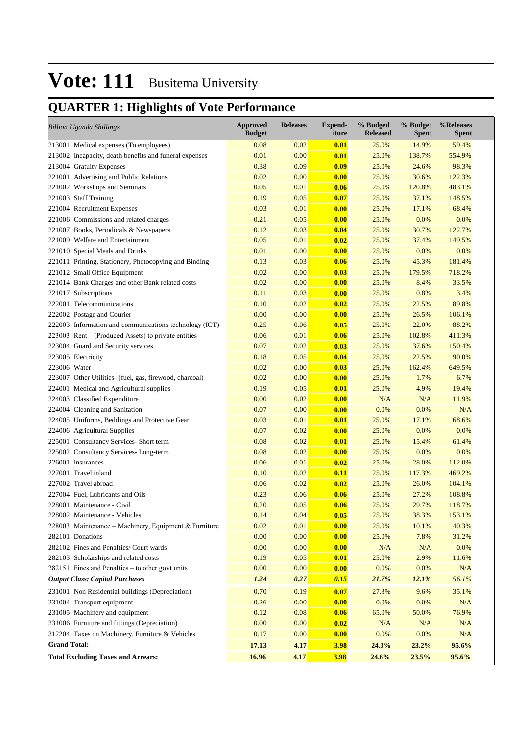# **QUARTER 1: Highlights of Vote Performance**

| <b>Billion Uganda Shillings</b>                         | <b>Approved</b><br><b>Budget</b> | <b>Releases</b> | <b>Expend-</b><br>iture | % Budged<br><b>Released</b> | % Budget<br><b>Spent</b> | %Releases<br><b>Spent</b> |
|---------------------------------------------------------|----------------------------------|-----------------|-------------------------|-----------------------------|--------------------------|---------------------------|
| 213001 Medical expenses (To employees)                  | 0.08                             | 0.02            | 0.01                    | 25.0%                       | 14.9%                    | 59.4%                     |
| 213002 Incapacity, death benefits and funeral expenses  | 0.01                             | 0.00            | 0.01                    | 25.0%                       | 138.7%                   | 554.9%                    |
| 213004 Gratuity Expenses                                | 0.38                             | 0.09            | 0.09                    | 25.0%                       | 24.6%                    | 98.3%                     |
| 221001 Advertising and Public Relations                 | 0.02                             | 0.00            | 0.00                    | 25.0%                       | 30.6%                    | 122.3%                    |
| 221002 Workshops and Seminars                           | 0.05                             | 0.01            | 0.06                    | 25.0%                       | 120.8%                   | 483.1%                    |
| 221003 Staff Training                                   | 0.19                             | 0.05            | 0.07                    | 25.0%                       | 37.1%                    | 148.5%                    |
| 221004 Recruitment Expenses                             | 0.03                             | 0.01            | 0.00                    | 25.0%                       | 17.1%                    | 68.4%                     |
| 221006 Commissions and related charges                  | 0.21                             | 0.05            | 0.00                    | 25.0%                       | 0.0%                     | 0.0%                      |
| 221007 Books, Periodicals & Newspapers                  | 0.12                             | 0.03            | 0.04                    | 25.0%                       | 30.7%                    | 122.7%                    |
| 221009 Welfare and Entertainment                        | 0.05                             | 0.01            | 0.02                    | 25.0%                       | 37.4%                    | 149.5%                    |
| 221010 Special Meals and Drinks                         | 0.01                             | 0.00            | 0.00                    | 25.0%                       | 0.0%                     | 0.0%                      |
| 221011 Printing, Stationery, Photocopying and Binding   | 0.13                             | 0.03            | 0.06                    | 25.0%                       | 45.3%                    | 181.4%                    |
| 221012 Small Office Equipment                           | 0.02                             | 0.00            | 0.03                    | 25.0%                       | 179.5%                   | 718.2%                    |
| 221014 Bank Charges and other Bank related costs        | 0.02                             | 0.00            | 0.00                    | 25.0%                       | 8.4%                     | 33.5%                     |
| 221017 Subscriptions                                    | 0.11                             | 0.03            | 0.00                    | 25.0%                       | 0.8%                     | 3.4%                      |
| 222001 Telecommunications                               | 0.10                             | 0.02            | 0.02                    | 25.0%                       | 22.5%                    | 89.8%                     |
| 222002 Postage and Courier                              | 0.00                             | 0.00            | 0.00                    | 25.0%                       | 26.5%                    | 106.1%                    |
| 222003 Information and communications technology (ICT)  | 0.25                             | 0.06            | 0.05                    | 25.0%                       | 22.0%                    | 88.2%                     |
| $223003$ Rent – (Produced Assets) to private entities   | 0.06                             | 0.01            | 0.06                    | 25.0%                       | 102.8%                   | 411.3%                    |
| 223004 Guard and Security services                      | 0.07                             | 0.02            | 0.03                    | 25.0%                       | 37.6%                    | 150.4%                    |
| 223005 Electricity                                      | 0.18                             | 0.05            | 0.04                    | 25.0%                       | 22.5%                    | 90.0%                     |
| 223006 Water                                            | 0.02                             | 0.00            | 0.03                    | 25.0%                       | 162.4%                   | 649.5%                    |
| 223007 Other Utilities- (fuel, gas, firewood, charcoal) | 0.02                             | 0.00            | 0.00                    | 25.0%                       | 1.7%                     | 6.7%                      |
| 224001 Medical and Agricultural supplies                | 0.19                             | 0.05            | 0.01                    | 25.0%                       | 4.9%                     | 19.4%                     |
| 224003 Classified Expenditure                           | 0.00                             | 0.02            | 0.00                    | N/A                         | N/A                      | 11.9%                     |
| 224004 Cleaning and Sanitation                          | 0.07                             | 0.00            | 0.00                    | 0.0%                        | 0.0%                     | N/A                       |
| 224005 Uniforms, Beddings and Protective Gear           | 0.03                             | 0.01            | 0.01                    | 25.0%                       | 17.1%                    | 68.6%                     |
| 224006 Agricultural Supplies                            | 0.07                             | 0.02            | 0.00                    | 25.0%                       | 0.0%                     | 0.0%                      |
| 225001 Consultancy Services- Short term                 | 0.08                             | 0.02            | 0.01                    | 25.0%                       | 15.4%                    | 61.4%                     |
| 225002 Consultancy Services-Long-term                   | 0.08                             | 0.02            | 0.00                    | 25.0%                       | 0.0%                     | 0.0%                      |
| 226001 Insurances                                       | 0.06                             | 0.01            | 0.02                    | 25.0%                       | 28.0%                    | 112.0%                    |
| 227001 Travel inland                                    | 0.10                             | 0.02            | 0.11                    | 25.0%                       | 117.3%                   | 469.2%                    |
| 227002 Travel abroad                                    | 0.06                             | 0.02            | 0.02                    | 25.0%                       | 26.0%                    | 104.1%                    |
| 227004 Fuel, Lubricants and Oils                        | 0.23                             | 0.06            | 0.06                    | 25.0%                       | 27.2%                    | 108.8%                    |
| 228001 Maintenance - Civil                              | 0.20                             | 0.05            | 0.06                    | 25.0%                       | 29.7%                    | 118.7%                    |
| 228002 Maintenance - Vehicles                           | 0.14                             | 0.04            | 0.05                    | 25.0%                       | 38.3%                    | 153.1%                    |
| 228003 Maintenance – Machinery, Equipment & Furniture   | 0.02                             | 0.01            | 0.00                    | 25.0%                       | 10.1%                    | 40.3%                     |
| 282101 Donations                                        | 0.00                             | 0.00            | 0.00                    | 25.0%                       | 7.8%                     | 31.2%                     |
| 282102 Fines and Penalties/ Court wards                 | 0.00                             | 0.00            | 0.00                    | N/A                         | N/A                      | 0.0%                      |
| 282103 Scholarships and related costs                   | 0.19                             | 0.05            | 0.01                    | 25.0%                       | 2.9%                     | 11.6%                     |
| 282151 Fines and Penalties – to other govt units        | 0.00                             | 0.00            | 0.00                    | 0.0%                        | $0.0\%$                  | $\rm N/A$                 |
| <b>Output Class: Capital Purchases</b>                  | 1.24                             | 0.27            | 0.15                    | 21.7%                       | 12.1%                    | 56.1%                     |
| 231001 Non Residential buildings (Depreciation)         | 0.70                             | 0.19            | 0.07                    | 27.3%                       | 9.6%                     | 35.1%                     |
| 231004 Transport equipment                              | 0.26                             | 0.00            | 0.00                    | 0.0%                        | 0.0%                     | N/A                       |
| 231005 Machinery and equipment                          | 0.12                             | 0.08            | 0.06                    | 65.0%                       | 50.0%                    | 76.9%                     |
| 231006 Furniture and fittings (Depreciation)            | 0.00                             | 0.00            | 0.02                    | $\rm N/A$                   | N/A                      | N/A                       |
| 312204 Taxes on Machinery, Furniture & Vehicles         | 0.17                             | 0.00            | 0.00                    | 0.0%                        | 0.0%                     | N/A                       |
| <b>Grand Total:</b>                                     | 17.13                            | 4.17            | <b>3.98</b>             | 24.3%                       | 23.2%                    | 95.6%                     |
| <b>Total Excluding Taxes and Arrears:</b>               | 16.96                            | 4.17            | 3.98                    | 24.6%                       | 23.5%                    | 95.6%                     |